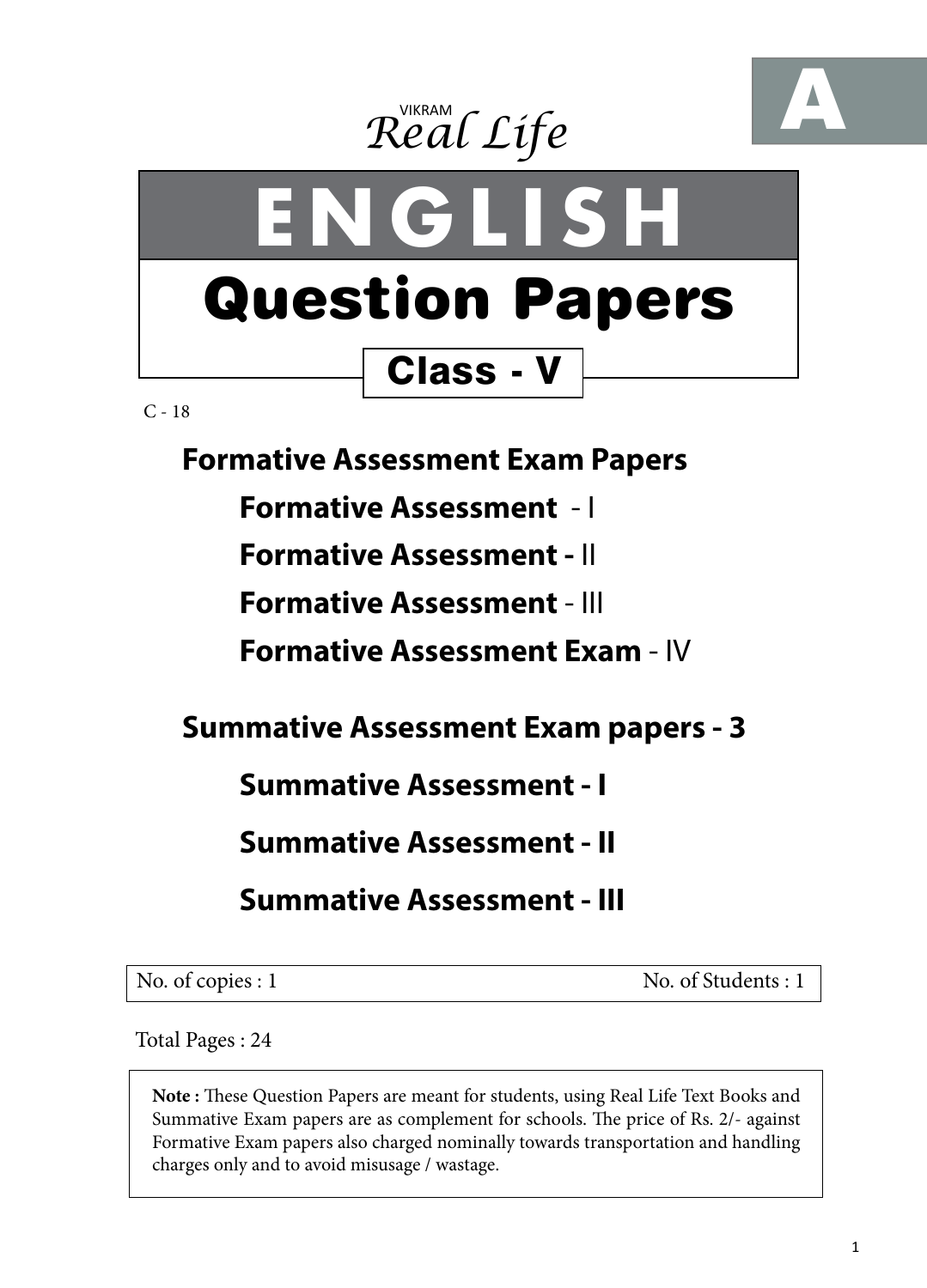





 $C - 18$ 

**Formative Assessment Exam Papers** 

**Formative Assessment** - I

**Formative Assessment -** II

**Formative Assessment** - III

**Formative Assessment Exam** - IV

**Summative Assessment Exam papers - 3**

**Summative Assessment - I**

**Summative Assessment - II**

**Summative Assessment - III**

No. of copies : 1 No. of Students : 1

Total Pages : 24

**Note :** These Question Papers are meant for students, using Real Life Text Books and Summative Exam papers are as complement for schools. The price of Rs. 2/- against Formative Exam papers also charged nominally towards transportation and handling charges only and to avoid misusage / wastage.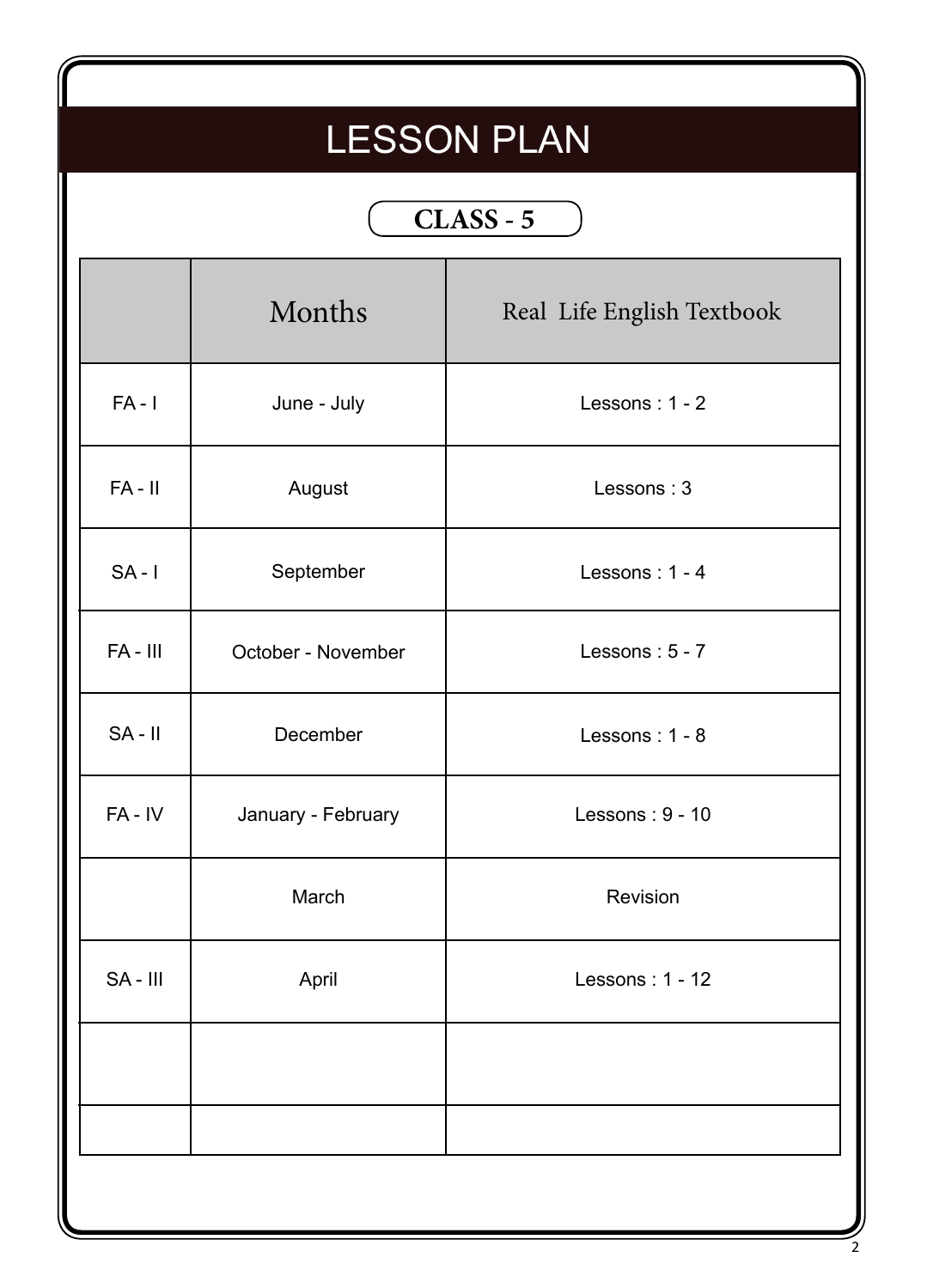# LESSON PLAN

## **CLASS - 5**

|           | Months             | Real Life English Textbook |
|-----------|--------------------|----------------------------|
| $FA - I$  | June - July        | Lessons: 1 - 2             |
| $FA - II$ | August             | Lessons: 3                 |
| $SA - I$  | September          | Lessons: $1 - 4$           |
| FA-III    | October - November | Lessons: 5 - 7             |
| $SA - II$ | December           | Lessons: $1 - 8$           |
| $FA - IV$ | January - February | Lessons: $9 - 10$          |
|           | March              | Revision                   |
| SA-III    | April              | Lessons: 1 - 12            |
|           |                    |                            |
|           |                    |                            |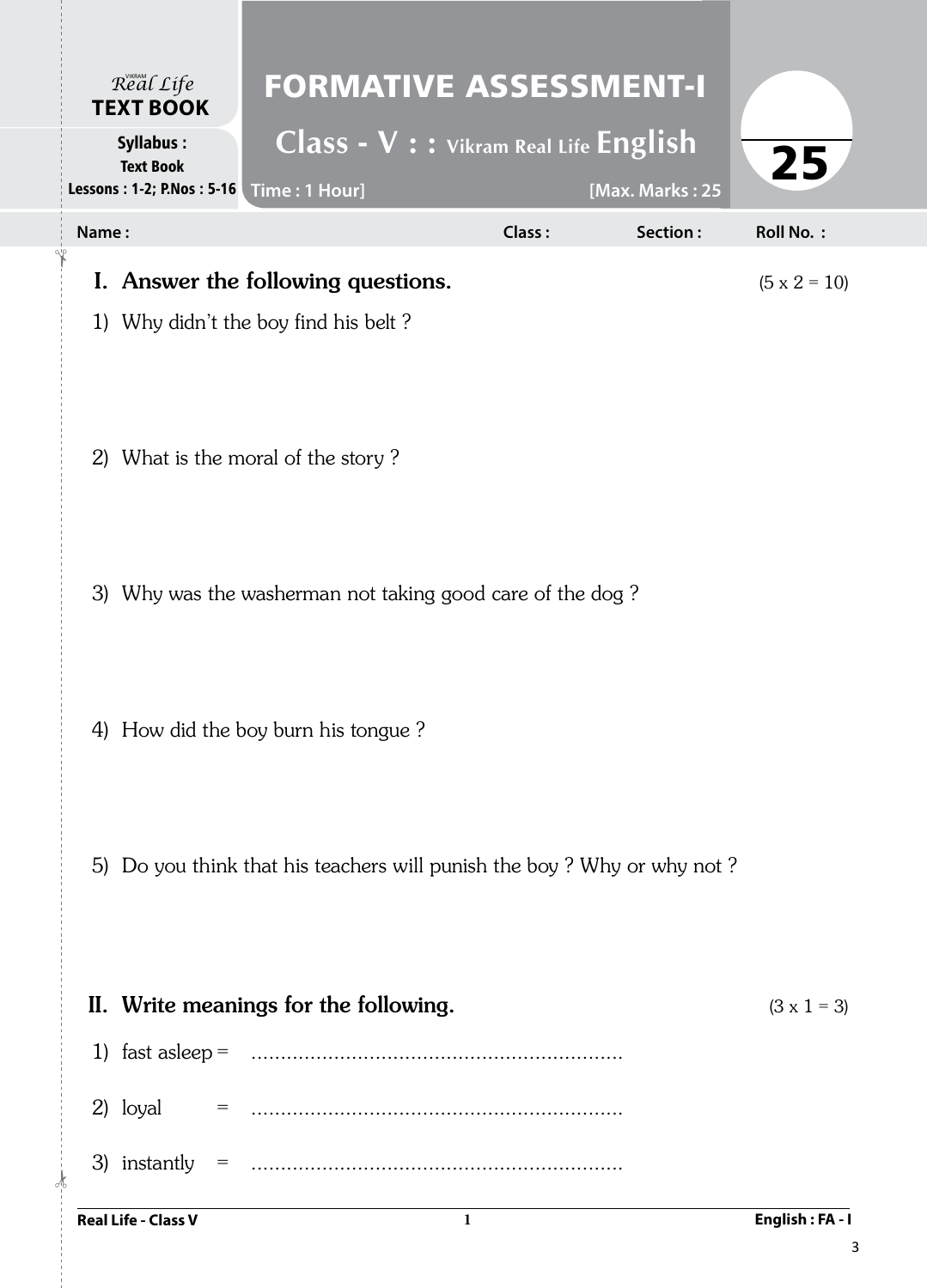|       | $\mathcal{R}^{\text{VIKRAM}}_{\text{CAL}}$<br><b>TEXT BOOK</b> | <b>FORMATIVE ASSESSMENT-I</b>                                                                                                                                                                                                                                                                                                                                                                                                |        |                 |                     |
|-------|----------------------------------------------------------------|------------------------------------------------------------------------------------------------------------------------------------------------------------------------------------------------------------------------------------------------------------------------------------------------------------------------------------------------------------------------------------------------------------------------------|--------|-----------------|---------------------|
|       | <b>Syllabus:</b><br><b>Text Book</b>                           | Class - V : : Vikram Real Life English<br>Lessons: 1-2; P.Nos: 5-16   Time: 1 Hour]                                                                                                                                                                                                                                                                                                                                          |        | [Max. Marks: 25 | 25                  |
| Name: |                                                                |                                                                                                                                                                                                                                                                                                                                                                                                                              | Class: | Section:        | <b>Roll No.:</b>    |
|       |                                                                | I. Answer the following questions.                                                                                                                                                                                                                                                                                                                                                                                           |        |                 | $(5 \times 2 = 10)$ |
|       |                                                                | 1) Why didn't the boy find his belt?                                                                                                                                                                                                                                                                                                                                                                                         |        |                 |                     |
|       |                                                                | 2) What is the moral of the story?                                                                                                                                                                                                                                                                                                                                                                                           |        |                 |                     |
|       |                                                                | 3) Why was the washerman not taking good care of the dog?                                                                                                                                                                                                                                                                                                                                                                    |        |                 |                     |
|       |                                                                |                                                                                                                                                                                                                                                                                                                                                                                                                              |        |                 |                     |
|       |                                                                | 4) How did the boy burn his tongue?                                                                                                                                                                                                                                                                                                                                                                                          |        |                 |                     |
|       |                                                                | 5) Do you think that his teachers will punish the boy? Why or why not?                                                                                                                                                                                                                                                                                                                                                       |        |                 |                     |
|       |                                                                | II. Write meanings for the following.                                                                                                                                                                                                                                                                                                                                                                                        |        |                 | $(3 \times 1 = 3)$  |
|       |                                                                |                                                                                                                                                                                                                                                                                                                                                                                                                              |        |                 |                     |
|       | 2) loyal                                                       | $\mathbf{r} = \mathbf{r} = \mathbf{r} = \mathbf{r} = \mathbf{r} = \mathbf{r} = \mathbf{r} = \mathbf{r} = \mathbf{r} = \mathbf{r} = \mathbf{r} = \mathbf{r} = \mathbf{r} = \mathbf{r} = \mathbf{r} = \mathbf{r} = \mathbf{r} = \mathbf{r} = \mathbf{r} = \mathbf{r} = \mathbf{r} = \mathbf{r} = \mathbf{r} = \mathbf{r} = \mathbf{r} = \mathbf{r} = \mathbf{r} = \mathbf{r} = \mathbf{r} = \mathbf{r} = \mathbf{r} = \mathbf$ |        |                 |                     |
|       |                                                                |                                                                                                                                                                                                                                                                                                                                                                                                                              |        |                 |                     |
|       | <b>Real Life - Class V</b>                                     | $\mathbf{1}$                                                                                                                                                                                                                                                                                                                                                                                                                 |        |                 | English: FA - I     |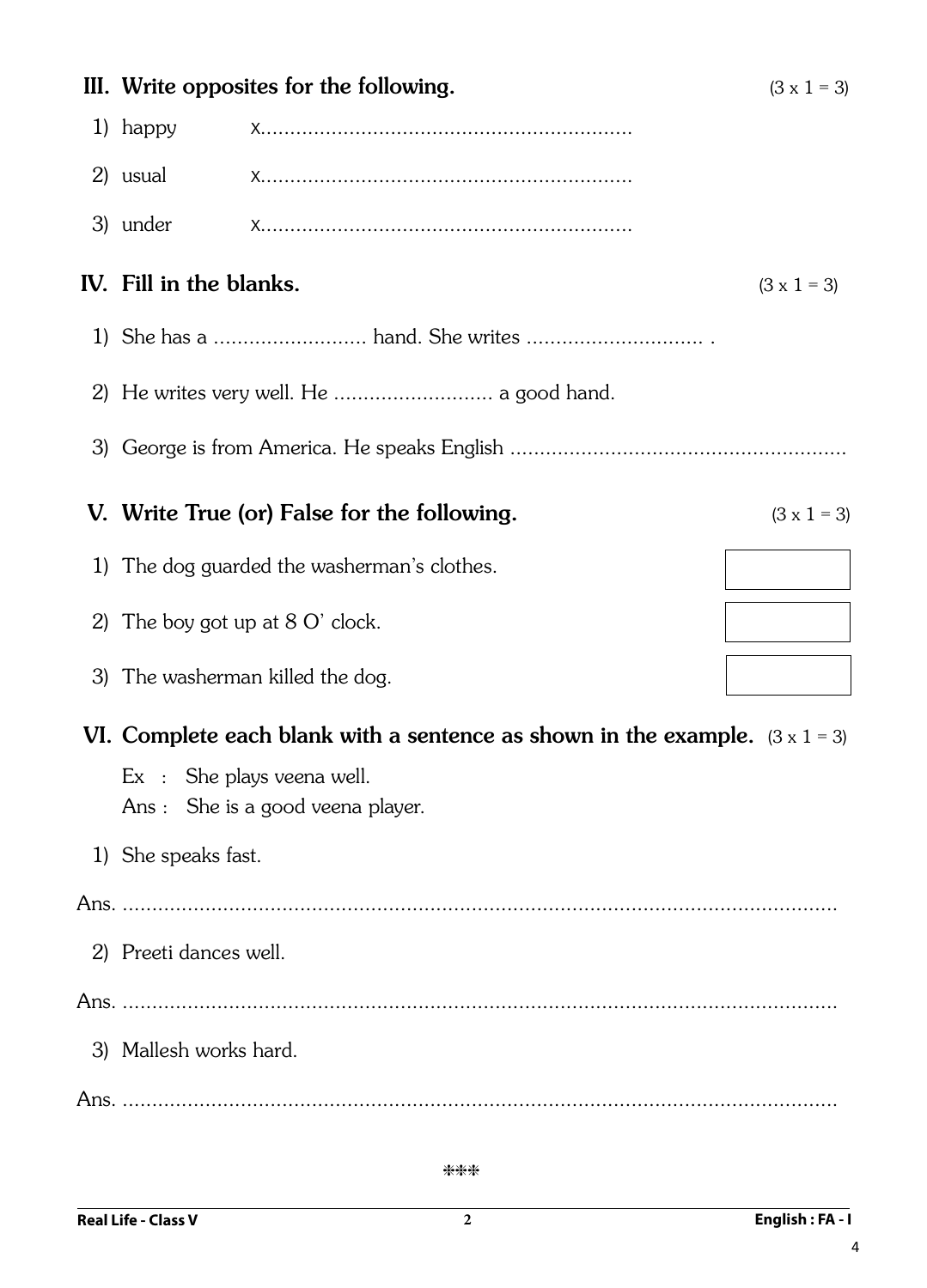|                         | III. Write opposites for the following.                                             | $(3 \times 1 = 3)$ |
|-------------------------|-------------------------------------------------------------------------------------|--------------------|
| 1) happy                |                                                                                     |                    |
| 2) usual                |                                                                                     |                    |
| 3) under                |                                                                                     |                    |
| IV. Fill in the blanks. |                                                                                     | $(3 \times 1 = 3)$ |
|                         |                                                                                     |                    |
|                         | 2) He writes very well. He  a good hand.                                            |                    |
|                         |                                                                                     |                    |
|                         | V. Write True (or) False for the following.                                         | $(3 \times 1 = 3)$ |
|                         | 1) The dog guarded the washerman's clothes.                                         |                    |
|                         | 2) The boy got up at $8 \text{ O}'$ clock.                                          |                    |
|                         | 3) The washerman killed the dog.                                                    |                    |
|                         | VI. Complete each blank with a sentence as shown in the example. $(3 \times 1 = 3)$ |                    |
|                         | $Ex :$ She plays veena well.<br>Ans : She is a good veena player.                   |                    |
| 1) She speaks fast.     |                                                                                     |                    |
|                         |                                                                                     |                    |
| 2) Preeti dances well.  |                                                                                     |                    |
|                         |                                                                                     |                    |
| 3) Mallesh works hard.  |                                                                                     |                    |
|                         |                                                                                     |                    |
|                         |                                                                                     |                    |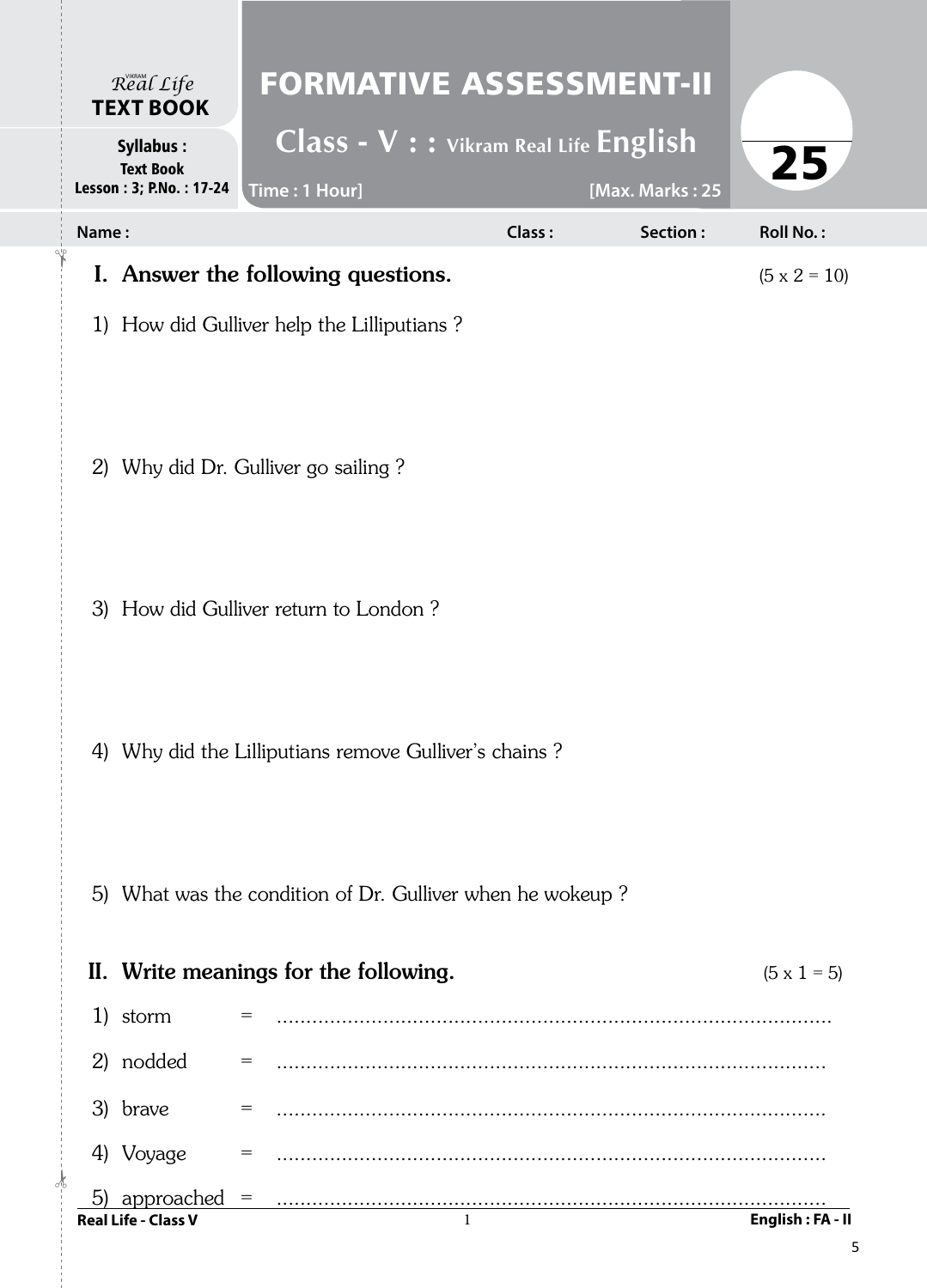| Real Life<br><b>TEXT BOOK</b>                                   | <b>FORMATIVE ASSESSMENT-II</b>                                                                                     |        |                 |                     |
|-----------------------------------------------------------------|--------------------------------------------------------------------------------------------------------------------|--------|-----------------|---------------------|
| <b>Syllabus:</b><br><b>Text Book</b><br>Lesson: 3; P.No.: 17-24 | Class - V : : Vikram Real Life English<br>Time: 1 Hour]                                                            |        | [Max. Marks: 25 | 25                  |
| Name:                                                           |                                                                                                                    | Class: | Section:        | <b>Roll No.:</b>    |
|                                                                 | I. Answer the following questions.                                                                                 |        |                 | $(5 \times 2 = 10)$ |
|                                                                 | 1) How did Gulliver help the Lilliputians?                                                                         |        |                 |                     |
|                                                                 | 2) Why did Dr. Gulliver go sailing?                                                                                |        |                 |                     |
|                                                                 |                                                                                                                    |        |                 |                     |
|                                                                 | 3) How did Gulliver return to London?                                                                              |        |                 |                     |
|                                                                 | 4) Why did the Lilliputians remove Gulliver's chains?<br>5) What was the condition of Dr. Gulliver when he wokeup? |        |                 |                     |
|                                                                 | II. Write meanings for the following.                                                                              |        |                 | $(5 \times 1 = 5)$  |
| 1) storm                                                        | $=$                                                                                                                |        |                 |                     |
| 2) nodded                                                       | $=$                                                                                                                |        |                 |                     |
| 3) brave                                                        | $=$                                                                                                                |        |                 |                     |
| 4) Voyage                                                       | $=$                                                                                                                |        |                 |                     |
| approached<br>5)<br><b>Real Life - Class V</b>                  | $=$                                                                                                                | 1      |                 | English: FA - II    |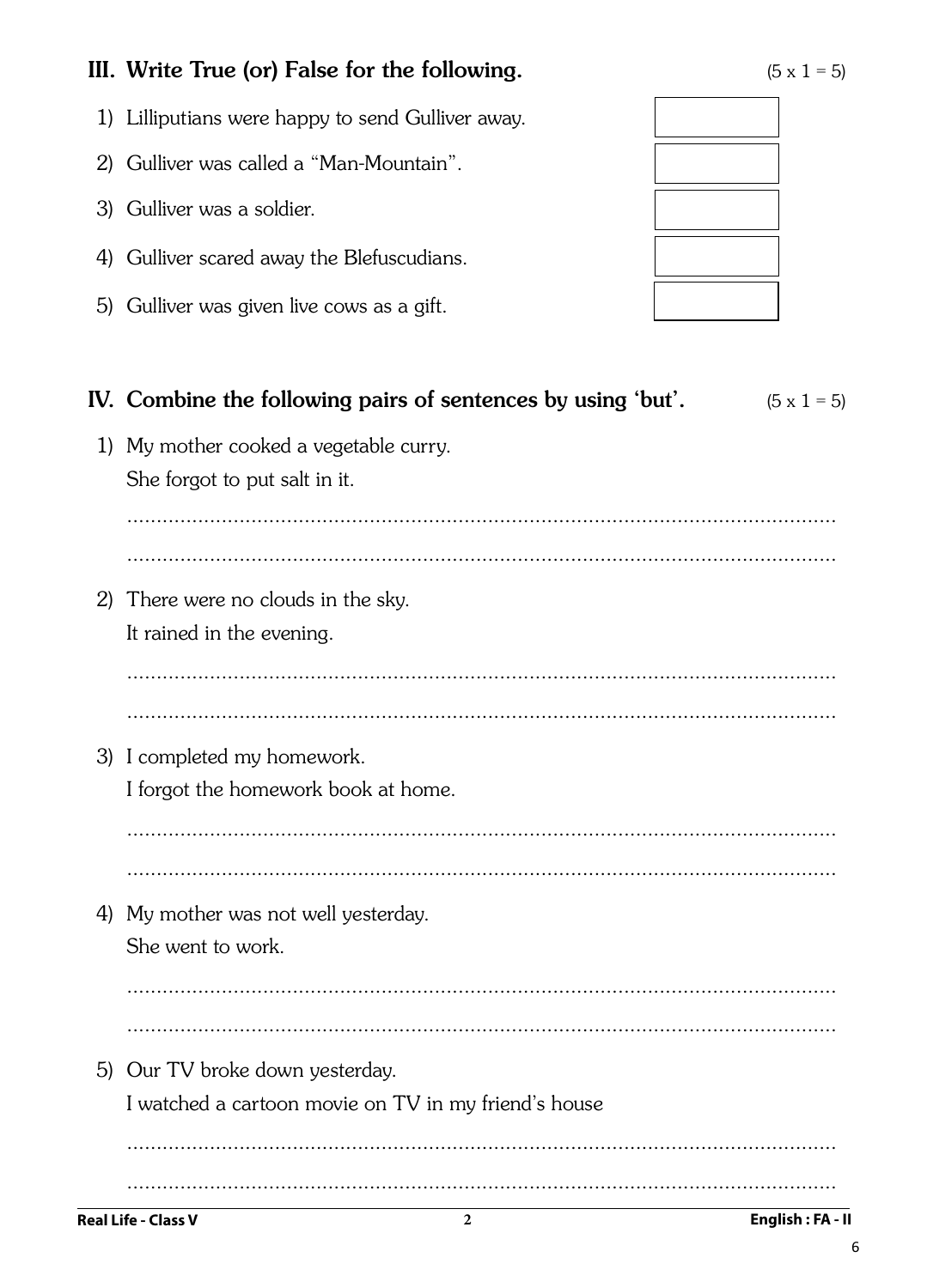## III. Write True (or) False for the following.

- 1) Lilliputians were happy to send Gulliver away.
- 2) Gulliver was called a "Man-Mountain".
- 3) Gulliver was a soldier.
- 4) Gulliver scared away the Blefuscudians.
- 5) Gulliver was given live cows as a gift.



| IV. Combine the following pairs of sentences by using 'but'.<br>$(5 \times 1 = 5)$ |
|------------------------------------------------------------------------------------|
| 1) My mother cooked a vegetable curry.                                             |
| She forgot to put salt in it.                                                      |
|                                                                                    |
|                                                                                    |
| 2) There were no clouds in the sky.                                                |
| It rained in the evening.                                                          |
|                                                                                    |
|                                                                                    |
| 3) I completed my homework.                                                        |
| I forgot the homework book at home.                                                |
|                                                                                    |
|                                                                                    |
| 4) My mother was not well yesterday.                                               |
| She went to work.                                                                  |
|                                                                                    |
|                                                                                    |
| 5) Our TV broke down yesterday.                                                    |
| I watched a cartoon movie on TV in my friend's house                               |
|                                                                                    |
|                                                                                    |

 $\sqrt{6}$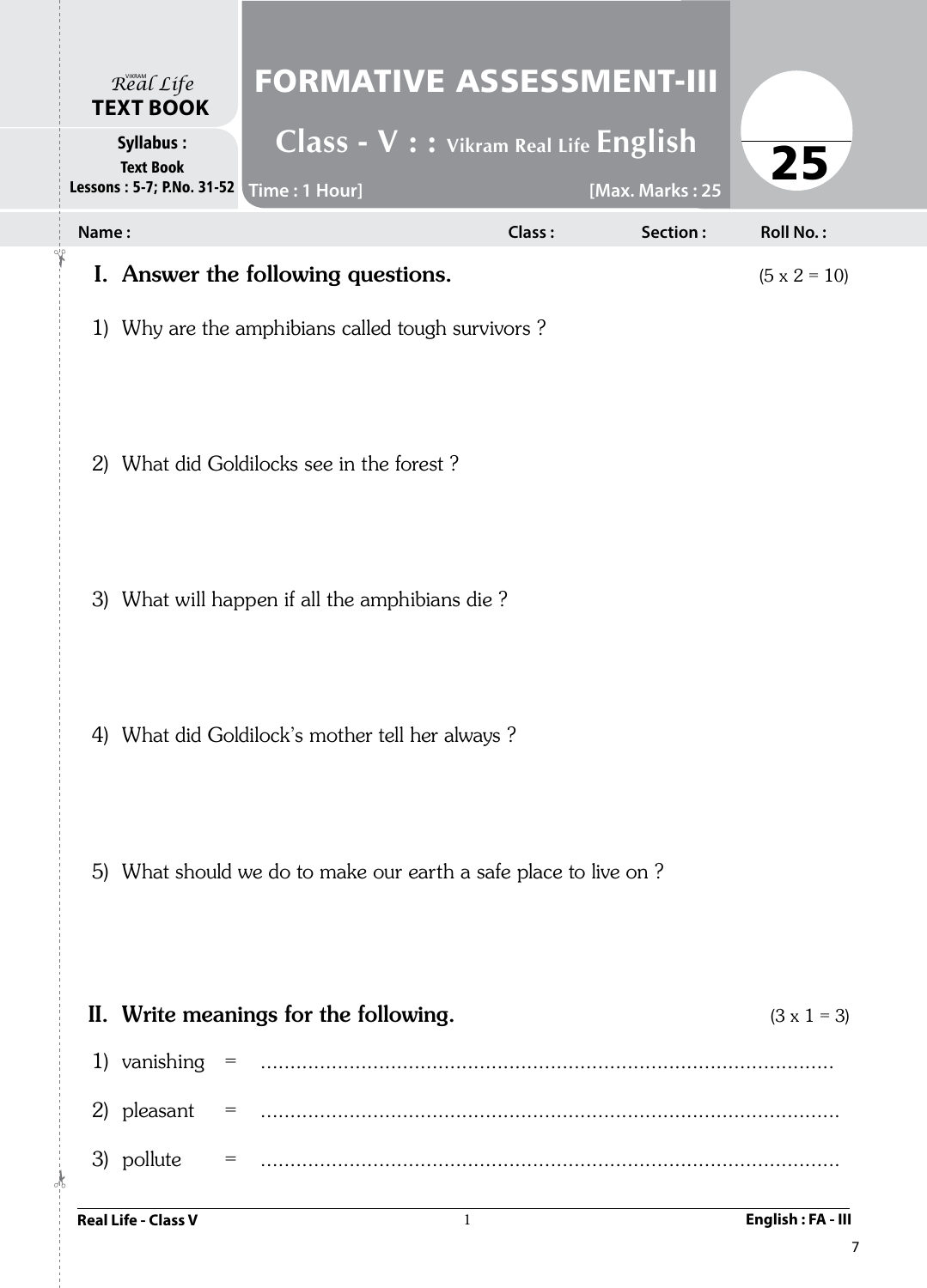| Real Life<br><b>TEXT BOOK</b>                                                       | <b>FORMATIVE ASSESSMENT-III</b>                                   |        |                 |                     |
|-------------------------------------------------------------------------------------|-------------------------------------------------------------------|--------|-----------------|---------------------|
| <b>Syllabus:</b><br><b>Text Book</b><br>Lessons : 5-7; P.No. 31-52   Time : 1 Hour] | $\overline{\text{Class}} - \text{V}$ : : Vikram Real Life English |        | [Max. Marks: 25 | 25                  |
| Name:                                                                               |                                                                   | Class: | Section:        | <b>Roll No.:</b>    |
|                                                                                     | I. Answer the following questions.                                |        |                 | $(5 \times 2 = 10)$ |
|                                                                                     | 1) Why are the amphibians called tough survivors?                 |        |                 |                     |
|                                                                                     | 2) What did Goldilocks see in the forest?                         |        |                 |                     |
|                                                                                     | 3) What will happen if all the amphibians die?                    |        |                 |                     |
|                                                                                     | 4) What did Goldilock's mother tell her always?                   |        |                 |                     |
|                                                                                     | 5) What should we do to make our earth a safe place to live on?   |        |                 |                     |
|                                                                                     | II. Write meanings for the following.                             |        |                 | $(3 \times 1 = 3)$  |
| 1) vanishing $=$                                                                    |                                                                   |        |                 |                     |
| 2) pleasant<br>$=$                                                                  |                                                                   |        |                 |                     |
| 3) pollute<br>$=$<br>$\frac{1}{2}$                                                  |                                                                   |        |                 |                     |
| <b>Real Life - Class V</b>                                                          |                                                                   | 1      |                 | English: FA - III   |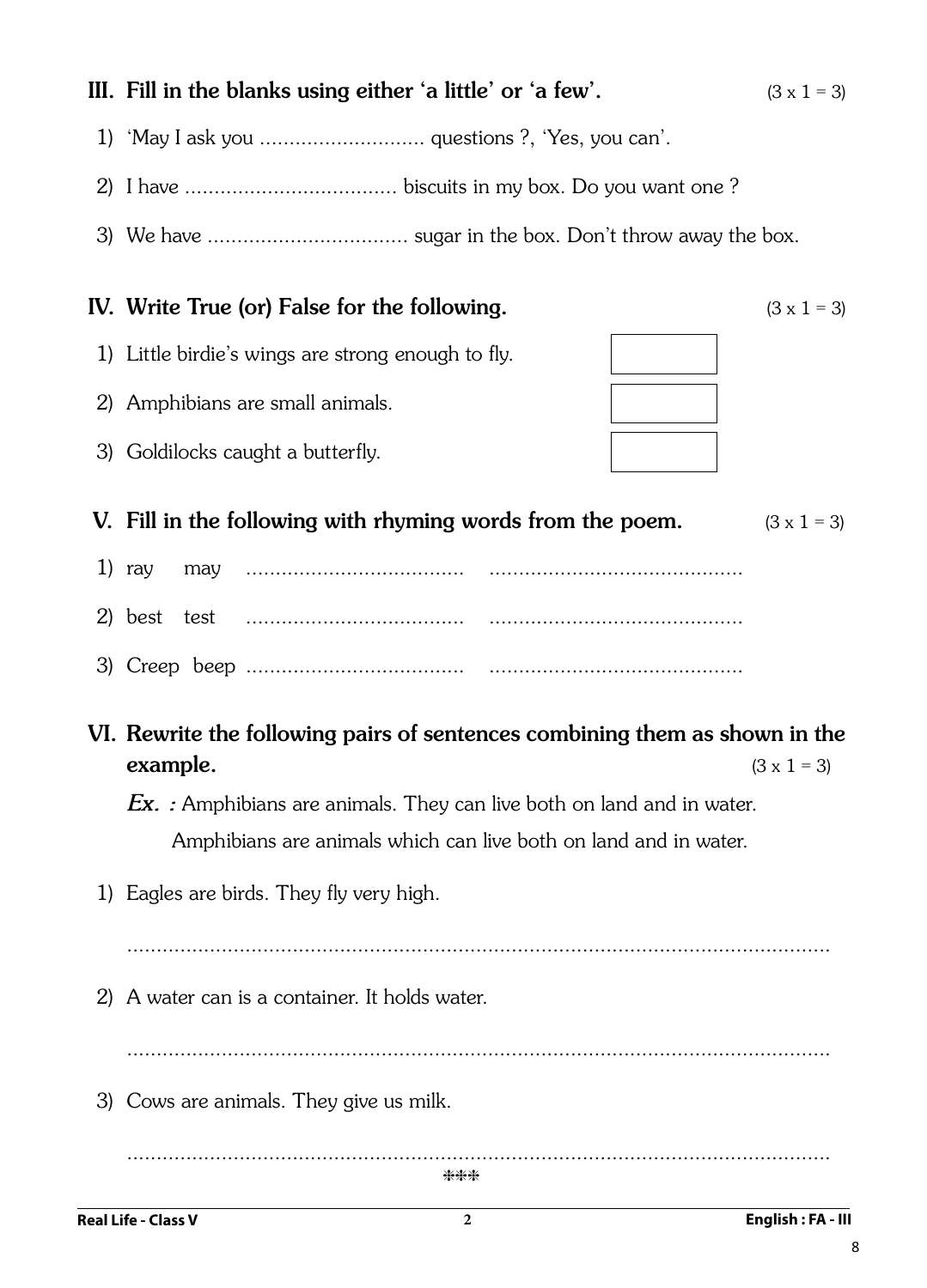# IV. Write True (or) False for the following.  $(3 \times 1 = 3)$ V. Fill in the following with rhyming words from the poem.  $(3 \times 1 = 3)$ 1) ray may ..................................... ........................................... 2) best test ..................................... ........................................... 3) Creep beep ..................................... ........................................... *Ex. :* Amphibians are animals. They can live both on land and in water. Amphibians are animals which can live both on land and in water. ....................................................................................................................... **Real Life - Class V 2 English : FA - III** \*\*\*

## III. Fill in the blanks using either 'a little' or 'a few'.  $(3 \times 1 = 3)$

- 1) 'May I ask you ............................ questions ?, 'Yes, you can'.
- 2) I have .................................... biscuits in my box. Do you want one ?
- 3) We have .................................. sugar in the box. Don't throw away the box.

- 1) Little birdie's wings are strong enough to fly.
- 2) Amphibians are small animals.
- 3) Goldilocks caught a butterfly.

- VI. Rewrite the following pairs of sentences combining them as shown in the **example.**  $(3 \times 1 = 3)$ 
	- 1) Eagles are birds. They fly very high.

.......................................................................................................................

2) A water can is a container. It holds water.

.......................................................................................................................

3) Cows are animals. They give us milk.

8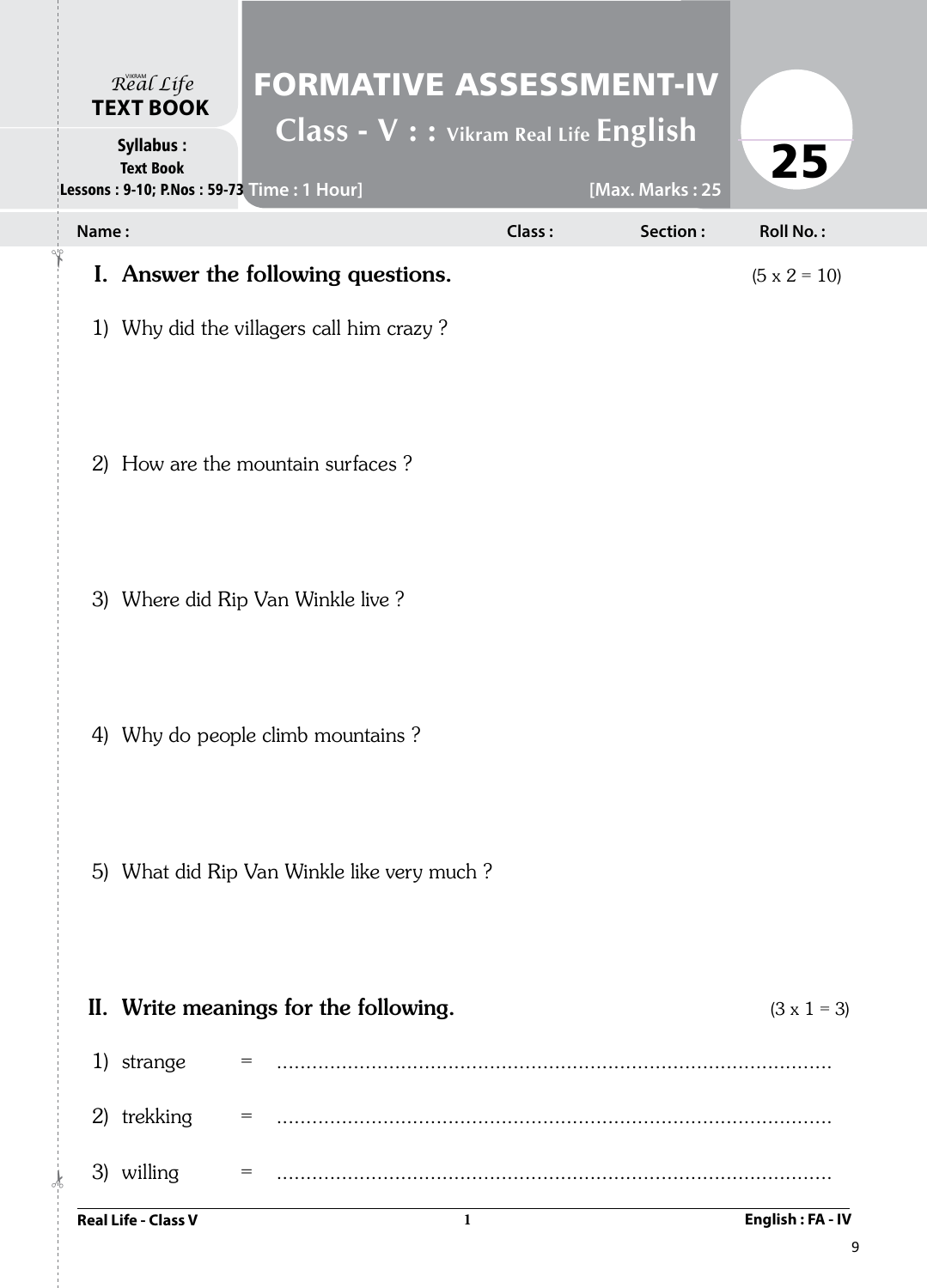| Real Life<br><b>TEXT BOOK</b>                                                     | <b>FORMATIVE ASSESSMENT-IV</b><br>Class - V : : Vikram Real Life English |        |                              |
|-----------------------------------------------------------------------------------|--------------------------------------------------------------------------|--------|------------------------------|
| <b>Syllabus:</b><br><b>Text Book</b><br>Lessons: 9-10; P.Nos: 59-73 Time: 1 Hour] |                                                                          |        | 25<br>[Max. Marks: 25        |
| Name:                                                                             |                                                                          | Class: | Section:<br><b>Roll No.:</b> |
|                                                                                   | I. Answer the following questions.                                       |        | $(5 \times 2 = 10)$          |
|                                                                                   | 1) Why did the villagers call him crazy?                                 |        |                              |
|                                                                                   | 2) How are the mountain surfaces?                                        |        |                              |
|                                                                                   | 3) Where did Rip Van Winkle live ?                                       |        |                              |
|                                                                                   | 4) Why do people climb mountains?                                        |        |                              |
|                                                                                   | 5) What did Rip Van Winkle like very much?                               |        |                              |
|                                                                                   | II. Write meanings for the following.                                    |        | $(3 \times 1 = 3)$           |
| 1) strange                                                                        |                                                                          |        |                              |
| 2) trekking                                                                       | $=$                                                                      |        |                              |
| 3) willing                                                                        | $=$                                                                      |        |                              |
| <b>Real Life - Class V</b>                                                        | 1                                                                        |        | English: FA - IV             |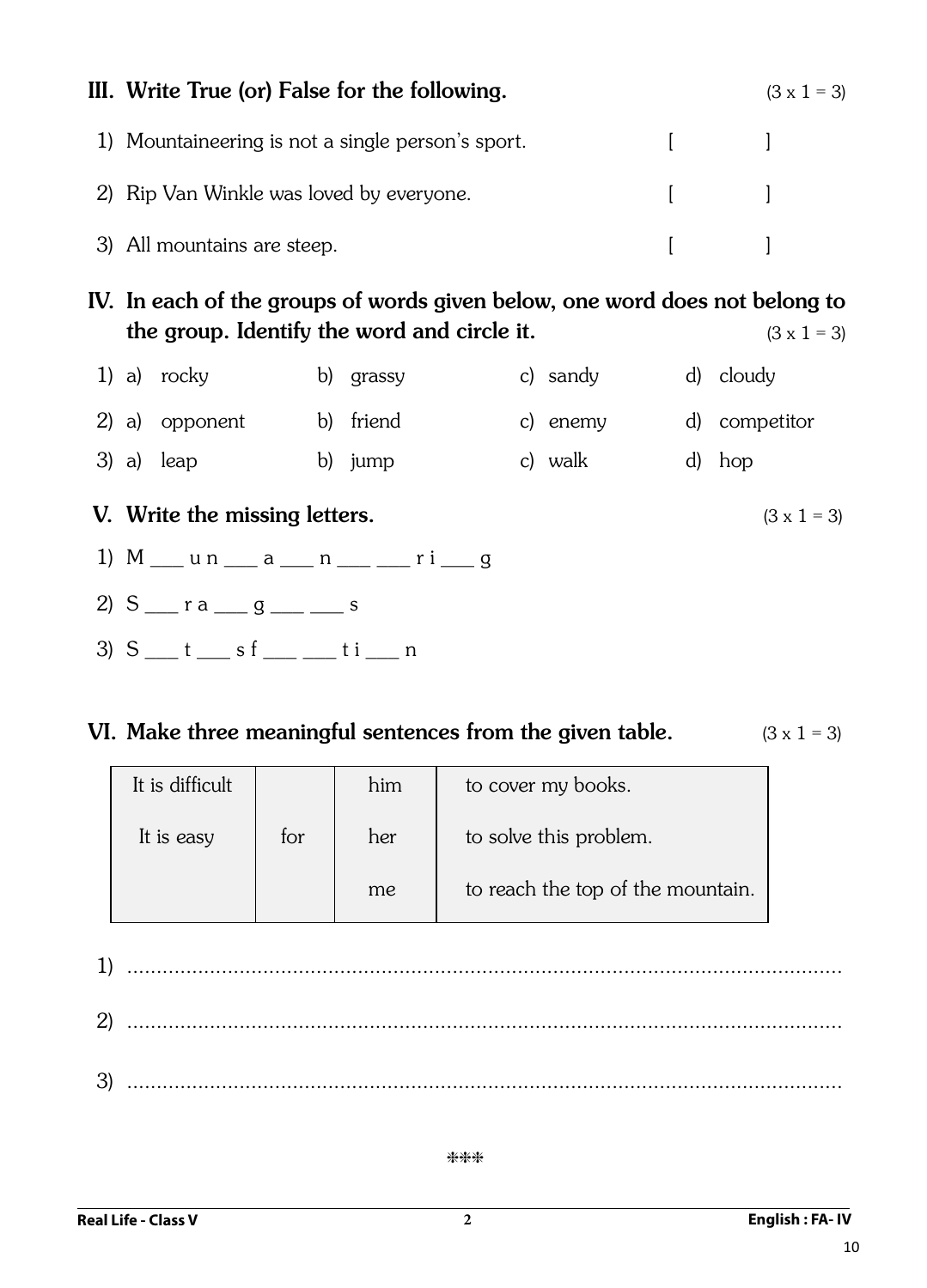| III. Write True (or) False for the following.     |                                                        | $(3 \times 1 = 3)$ |
|---------------------------------------------------|--------------------------------------------------------|--------------------|
| 1) Mountaineering is not a single person's sport. | $\mathbf{1}$ and $\mathbf{1}$                          |                    |
| 2) Rip Van Winkle was loved by everyone.          | $\begin{bmatrix} 1 & 1 & 1 \\ 1 & 1 & 1 \end{bmatrix}$ |                    |
| 3) All mountains are steep.                       | $\mathbb{R}^n$ and $\mathbb{R}^n$                      |                    |

IV. In each of the groups of words given below, one word does not belong to the group. Identify the word and circle it.  $(3 \times 1 = 3)$ 

|  | 1) a) $rocky$  | b) grassy | c) sandy | d) cloudy     |
|--|----------------|-----------|----------|---------------|
|  | 2) a) opponent | b) friend | c) enemy | d) competitor |
|  | $3)$ a) leap   | b) jump   | c) walk  | d) hop        |

## **V.** Write the missing letters.  $(3 \times 1 = 3)$

- 1)  $M$   $\mu$  n  $\mu$  a  $\mu$  n  $\mu$   $\mu$   $\mu$   $\mu$   $\mu$   $\mu$
- 2)  $S \_ r a \_ g \_ s \_ s$
- $3) S$  t sf ti n

## VI. Make three meaningful sentences from the given table.  $(3 \times 1 = 3)$

| It is difficult |     | him | to cover my books.                |
|-----------------|-----|-----|-----------------------------------|
| It is easy      | for | her | to solve this problem.            |
|                 |     | me  | to reach the top of the mountain. |

1) ......................................................................................................................... 2) ......................................................................................................................... 3) .........................................................................................................................

## \*\*\*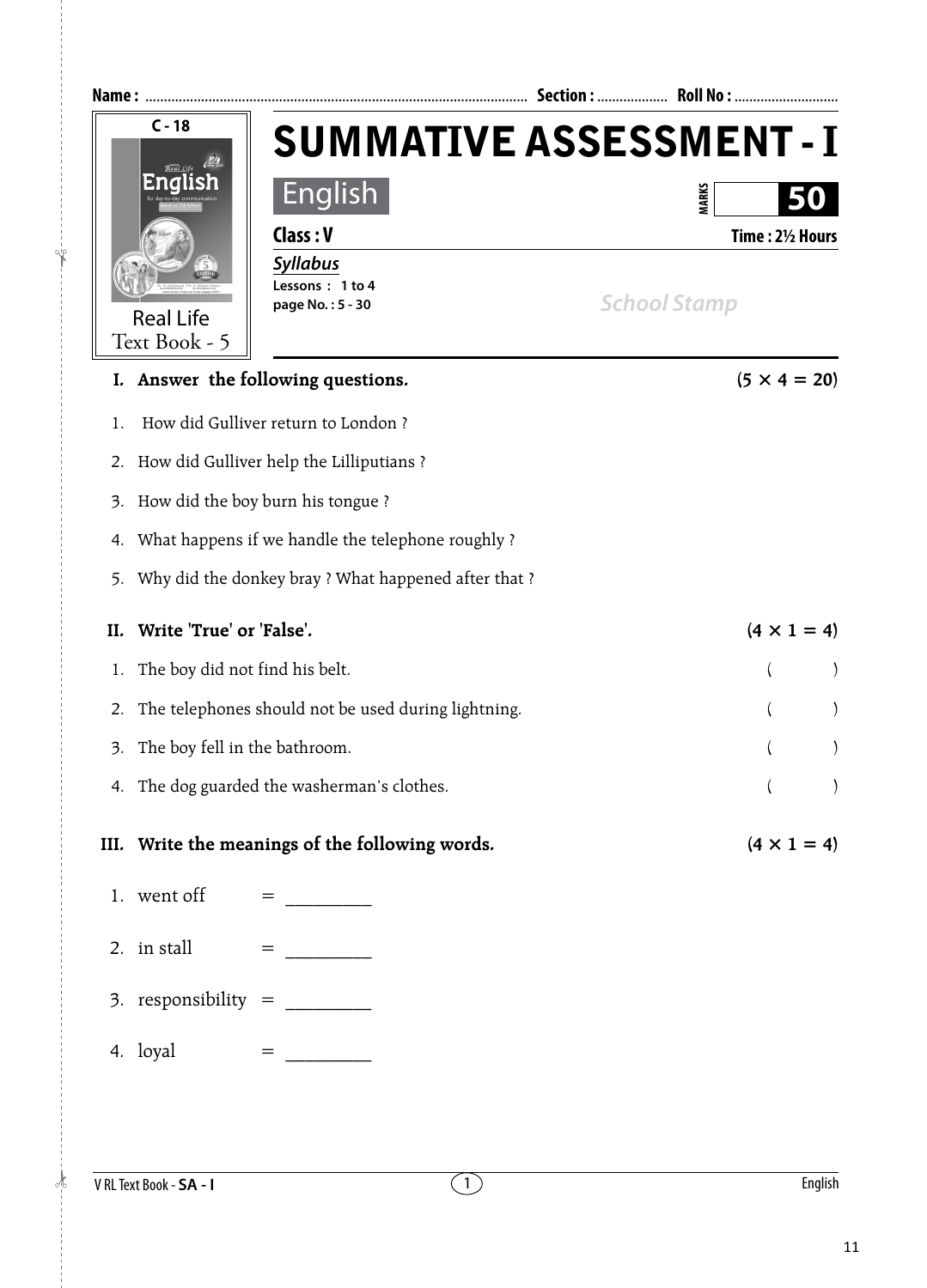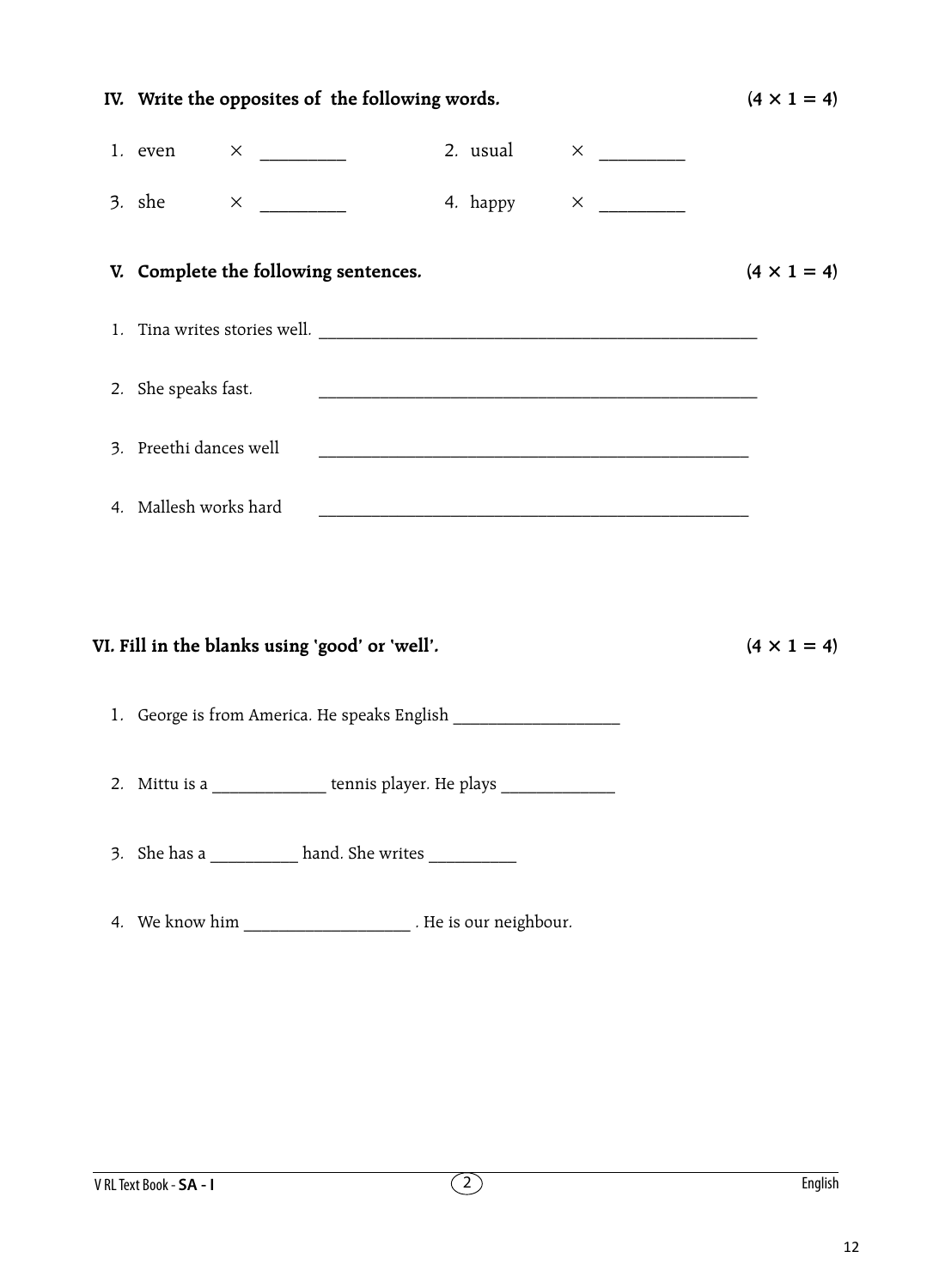| IV. Write the opposites of the following words.                                                                                                                                                                                |          |  | $(4 \times 1 = 4)$ |
|--------------------------------------------------------------------------------------------------------------------------------------------------------------------------------------------------------------------------------|----------|--|--------------------|
| 1. even                                                                                                                                                                                                                        | 2. usual |  |                    |
| 3. she                                                                                                                                                                                                                         | 4. happy |  |                    |
| V. Complete the following sentences.                                                                                                                                                                                           |          |  | $(4 \times 1 = 4)$ |
|                                                                                                                                                                                                                                |          |  |                    |
| 2. She speaks fast.                                                                                                                                                                                                            |          |  |                    |
| 3. Preethi dances well                                                                                                                                                                                                         |          |  |                    |
| 4. Mallesh works hard                                                                                                                                                                                                          |          |  |                    |
|                                                                                                                                                                                                                                |          |  |                    |
| VI. Fill in the blanks using 'good' or 'well'.                                                                                                                                                                                 |          |  | $(4 \times 1 = 4)$ |
| 1. George is from America. He speaks English ___________________________________                                                                                                                                               |          |  |                    |
| 2. Mittu is a ________________ tennis player. He plays _________________________                                                                                                                                               |          |  |                    |
| 3. She has a ___________ hand. She writes ___________                                                                                                                                                                          |          |  |                    |
| 4. We know him the state of the state of the state of the state of the state of the state of the state of the state of the state of the state of the state of the state of the state of the state of the state of the state of |          |  |                    |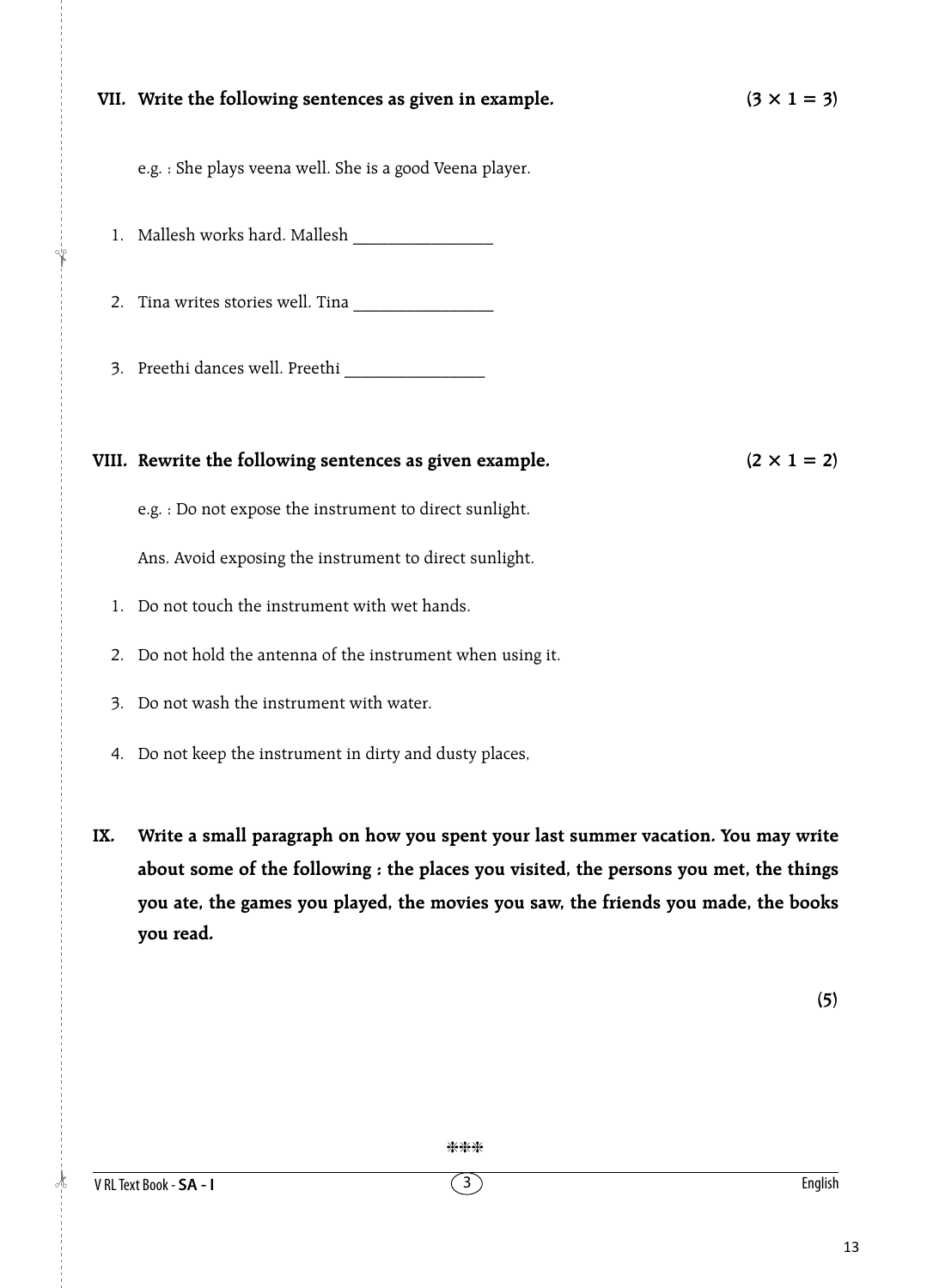|     | VII. Write the following sentences as given in example.<br>$(3 \times 1 = 3)$         |
|-----|---------------------------------------------------------------------------------------|
|     | e.g. : She plays veena well. She is a good Veena player.                              |
|     |                                                                                       |
|     |                                                                                       |
|     |                                                                                       |
|     |                                                                                       |
|     | VIII. Rewrite the following sentences as given example.<br>$(2 \times 1 = 2)$         |
|     | e.g. : Do not expose the instrument to direct sunlight.                               |
|     | Ans. Avoid exposing the instrument to direct sunlight.                                |
|     | 1. Do not touch the instrument with wet hands.                                        |
|     | 2. Do not hold the antenna of the instrument when using it.                           |
|     | 3. Do not wash the instrument with water.                                             |
|     | 4. Do not keep the instrument in dirty and dusty places,                              |
| IX. | Write a small paragraph on how you spent your last summer vacation. You may write     |
|     |                                                                                       |
|     | about some of the following : the places you visited, the persons you met, the things |

**you ate, the games you played, the movies you saw, the friends you made, the books you read.**

 $\frac{1}{2}$ 

|<br>|}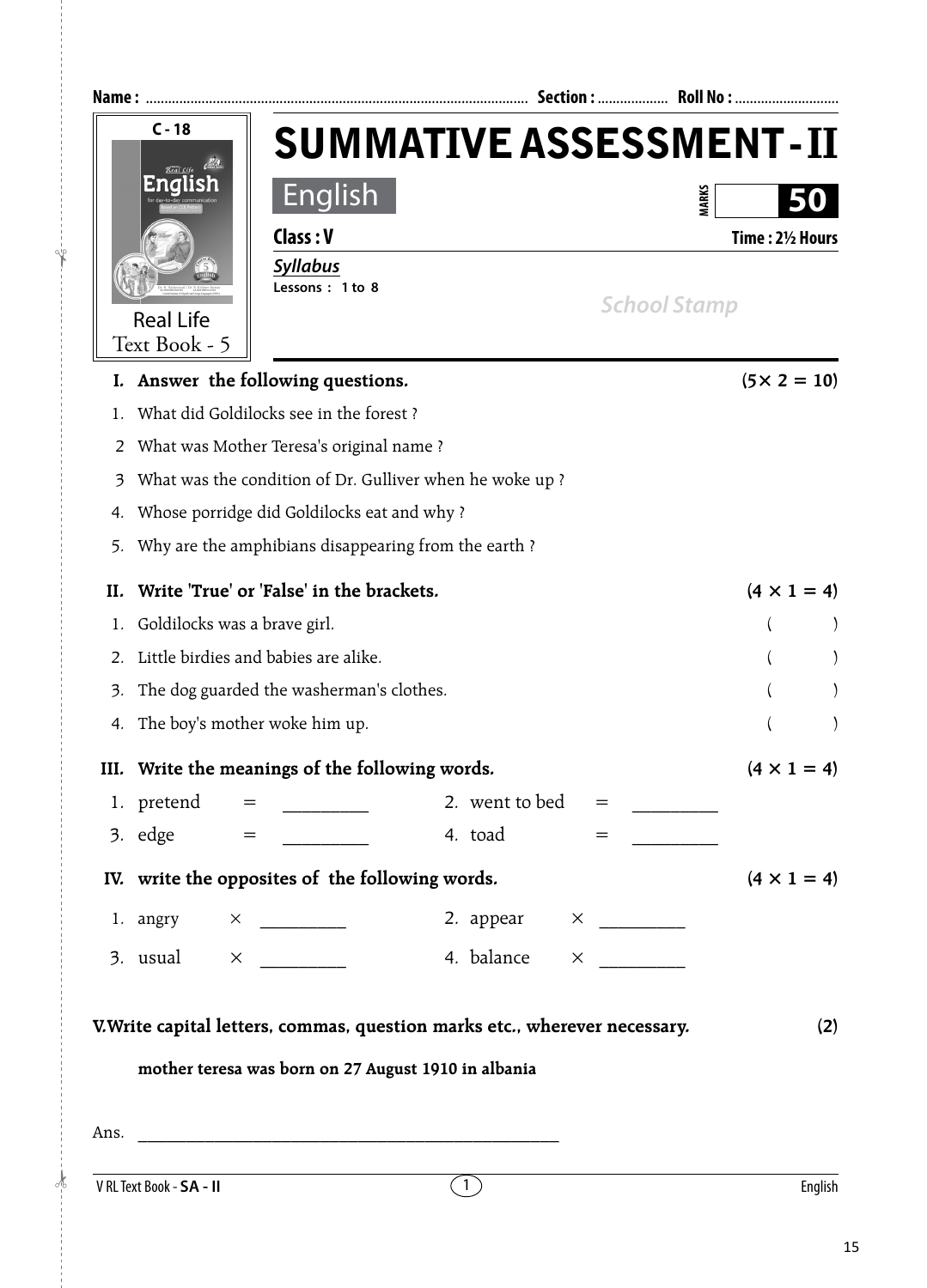|     | $C - 18$                     |                                                 |                                                                            | <b>SUMMATIVE ASSESSMENT-II</b> |
|-----|------------------------------|-------------------------------------------------|----------------------------------------------------------------------------|--------------------------------|
|     |                              | <b>English</b>                                  |                                                                            | <b>MARKS</b>                   |
|     |                              | Class: V                                        |                                                                            | Time: 21/2 Hours               |
|     |                              | <b>Syllabus</b>                                 |                                                                            |                                |
|     | <b>Real Life</b>             | Lessons: 1 to 8                                 |                                                                            | <b>School Stamp</b>            |
|     | Text Book - 5                |                                                 |                                                                            |                                |
|     |                              | Answer the following questions.                 |                                                                            | $(5 \times 2 = 10)$            |
|     |                              | What did Goldilocks see in the forest?          |                                                                            |                                |
| 2   |                              | What was Mother Teresa's original name?         |                                                                            |                                |
| 3   |                              |                                                 | What was the condition of Dr. Gulliver when he woke up?                    |                                |
| 4.  |                              | Whose porridge did Goldilocks eat and why?      |                                                                            |                                |
| 5.  |                              |                                                 | Why are the amphibians disappearing from the earth?                        |                                |
| II. |                              | Write 'True' or 'False' in the brackets.        |                                                                            | $(4 \times 1 = 4)$             |
|     | Goldilocks was a brave girl. |                                                 |                                                                            |                                |
| 2.  |                              | Little birdies and babies are alike.            |                                                                            |                                |
| 3.  |                              | The dog guarded the washerman's clothes.        |                                                                            |                                |
| 4.  |                              | The boy's mother woke him up.                   |                                                                            |                                |
|     |                              | III. Write the meanings of the following words. |                                                                            | $(4 \times 1 = 4)$             |
|     |                              | 1. pretend = $\frac{1}{2}$                      | 2. went to bed $=$                                                         |                                |
|     |                              | $3.$ edge $=$                                   | 4. toad<br>$=$                                                             |                                |
|     |                              | IV. write the opposites of the following words. |                                                                            | $(4 \times 1 = 4)$             |
|     |                              |                                                 | 2. appear $\times$ ________                                                |                                |
|     |                              |                                                 |                                                                            |                                |
|     |                              |                                                 | 4. balance                                                                 |                                |
|     |                              |                                                 |                                                                            |                                |
|     |                              |                                                 | V. Write capital letters, commas, question marks etc., wherever necessary. | (2)                            |
|     |                              |                                                 | mother teresa was born on 27 August 1910 in albania                        |                                |
|     |                              |                                                 |                                                                            |                                |
|     |                              |                                                 |                                                                            |                                |
|     | V RL Text Book - SA - II     |                                                 | $\overline{1}$                                                             | English                        |

!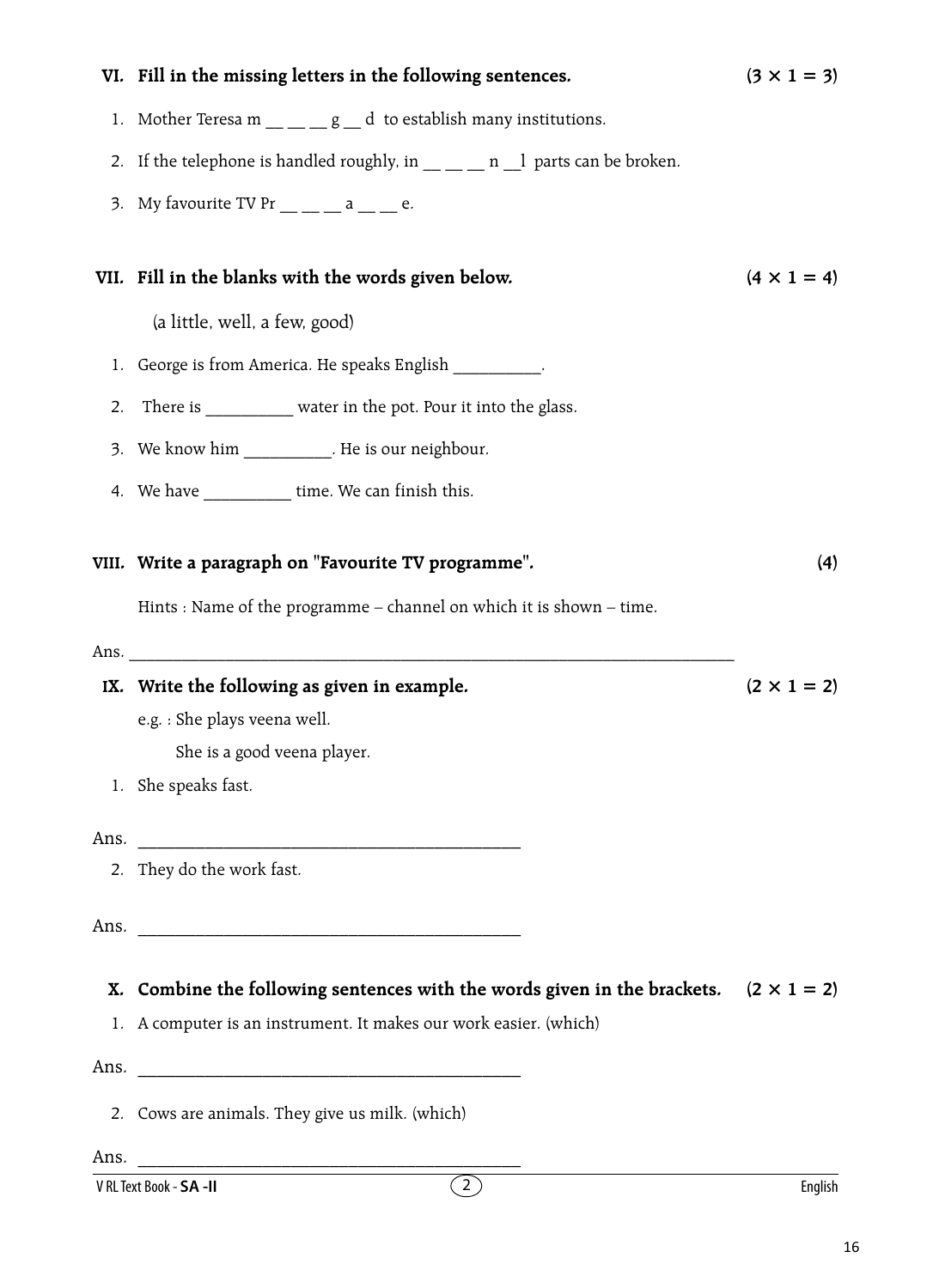|    | VI. Fill in the missing letters in the following sentences.                                                    | $(3 \times 1 = 3)$ |
|----|----------------------------------------------------------------------------------------------------------------|--------------------|
|    | 1. Mother Teresa $m \_ -g \_ d$ to establish many institutions.                                                |                    |
|    | 2. If the telephone is handled roughly, in https://industrangle.org/2. If the telephone is handled roughly, in |                    |
|    | 3. My favourite TV Pr $\_\_$ $\_\_$ a $\_\_$ $\_\_$ e.                                                         |                    |
|    | VII. Fill in the blanks with the words given below.                                                            | $(4 \times 1 = 4)$ |
|    | (a little, well, a few, good)                                                                                  |                    |
|    | 1. George is from America. He speaks English __________.                                                       |                    |
| 2. | There is __________ water in the pot. Pour it into the glass.                                                  |                    |
|    | 3. We know him ___________. He is our neighbour.                                                               |                    |
|    | 4. We have time. We can finish this.                                                                           |                    |
|    |                                                                                                                |                    |
|    | VIII. Write a paragraph on "Favourite TV programme".                                                           | (4)                |
|    | Hints : Name of the programme - channel on which it is shown - time.                                           |                    |
|    | Ans.                                                                                                           |                    |
|    | IX. Write the following as given in example.                                                                   | $(2 \times 1 = 2)$ |
|    | e.g. : She plays veena well.                                                                                   |                    |
|    | She is a good veena player.                                                                                    |                    |
|    | 1. She speaks fast.                                                                                            |                    |
|    |                                                                                                                |                    |
|    | 2. They do the work fast.                                                                                      |                    |
|    |                                                                                                                |                    |
|    |                                                                                                                |                    |
|    |                                                                                                                |                    |
|    | X. Combine the following sentences with the words given in the brackets. $(2 \times 1 = 2)$                    |                    |
|    | 1. A computer is an instrument. It makes our work easier. (which)                                              |                    |
|    |                                                                                                                |                    |
|    | 2. Cows are animals. They give us milk. (which)                                                                |                    |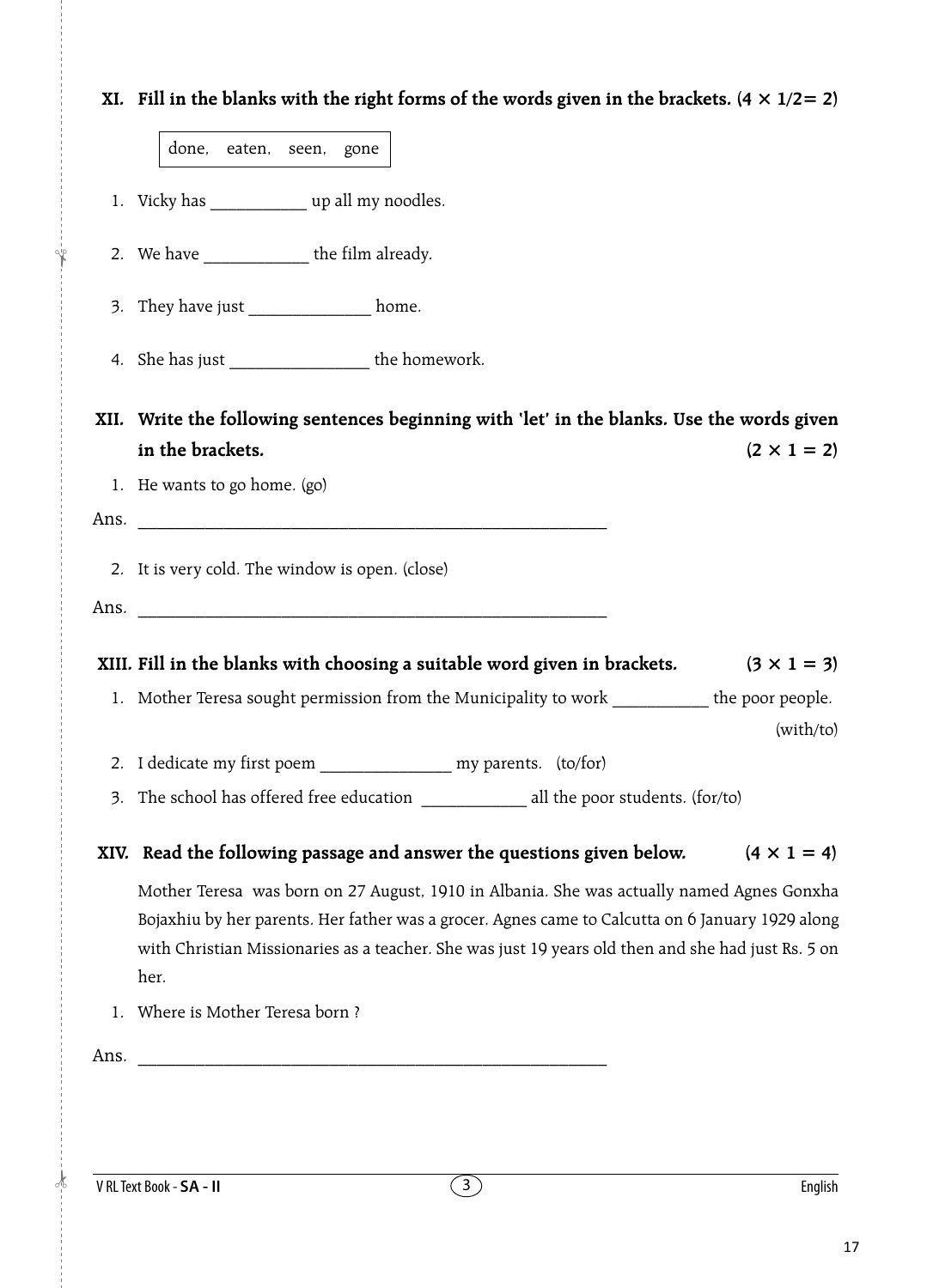|      | XI. Fill in the blanks with the right forms of the words given in the brackets. $(4 \times 1/2 = 2)$                                                                                                                                                                                                        |
|------|-------------------------------------------------------------------------------------------------------------------------------------------------------------------------------------------------------------------------------------------------------------------------------------------------------------|
|      | done, eaten, seen, gone                                                                                                                                                                                                                                                                                     |
|      | 1. Vicky has _______________ up all my noodles.                                                                                                                                                                                                                                                             |
|      | 2. We have _______________ the film already.                                                                                                                                                                                                                                                                |
|      | 3. They have just ______________ home.                                                                                                                                                                                                                                                                      |
|      | 4. She has just _____________________ the homework.                                                                                                                                                                                                                                                         |
|      | XII. Write the following sentences beginning with 'let' in the blanks. Use the words given<br>in the brackets.<br>$(2 \times 1 = 2)$                                                                                                                                                                        |
|      | 1. He wants to go home. (go)                                                                                                                                                                                                                                                                                |
|      |                                                                                                                                                                                                                                                                                                             |
|      | Ans.                                                                                                                                                                                                                                                                                                        |
|      | 2. It is very cold. The window is open. (close)                                                                                                                                                                                                                                                             |
|      |                                                                                                                                                                                                                                                                                                             |
|      |                                                                                                                                                                                                                                                                                                             |
|      |                                                                                                                                                                                                                                                                                                             |
|      | XIII. Fill in the blanks with choosing a suitable word given in brackets.<br>$(3 \times 1 = 3)$                                                                                                                                                                                                             |
|      | 1. Mother Teresa sought permission from the Municipality to work ___________ the poor people.<br>(with/to)                                                                                                                                                                                                  |
|      | 2. I dedicate my first poem __________________ my parents. (to/for)                                                                                                                                                                                                                                         |
|      |                                                                                                                                                                                                                                                                                                             |
|      | $(4 \times 1 = 4)$<br>XIV. Read the following passage and answer the questions given below.                                                                                                                                                                                                                 |
|      | Mother Teresa was born on 27 August, 1910 in Albania. She was actually named Agnes Gonxha<br>Bojaxhiu by her parents. Her father was a grocer. Agnes came to Calcutta on 6 January 1929 along<br>with Christian Missionaries as a teacher. She was just 19 years old then and she had just Rs. 5 on<br>her. |
|      | 1. Where is Mother Teresa born ?                                                                                                                                                                                                                                                                            |
| Ans. |                                                                                                                                                                                                                                                                                                             |
|      |                                                                                                                                                                                                                                                                                                             |
|      |                                                                                                                                                                                                                                                                                                             |

**1990**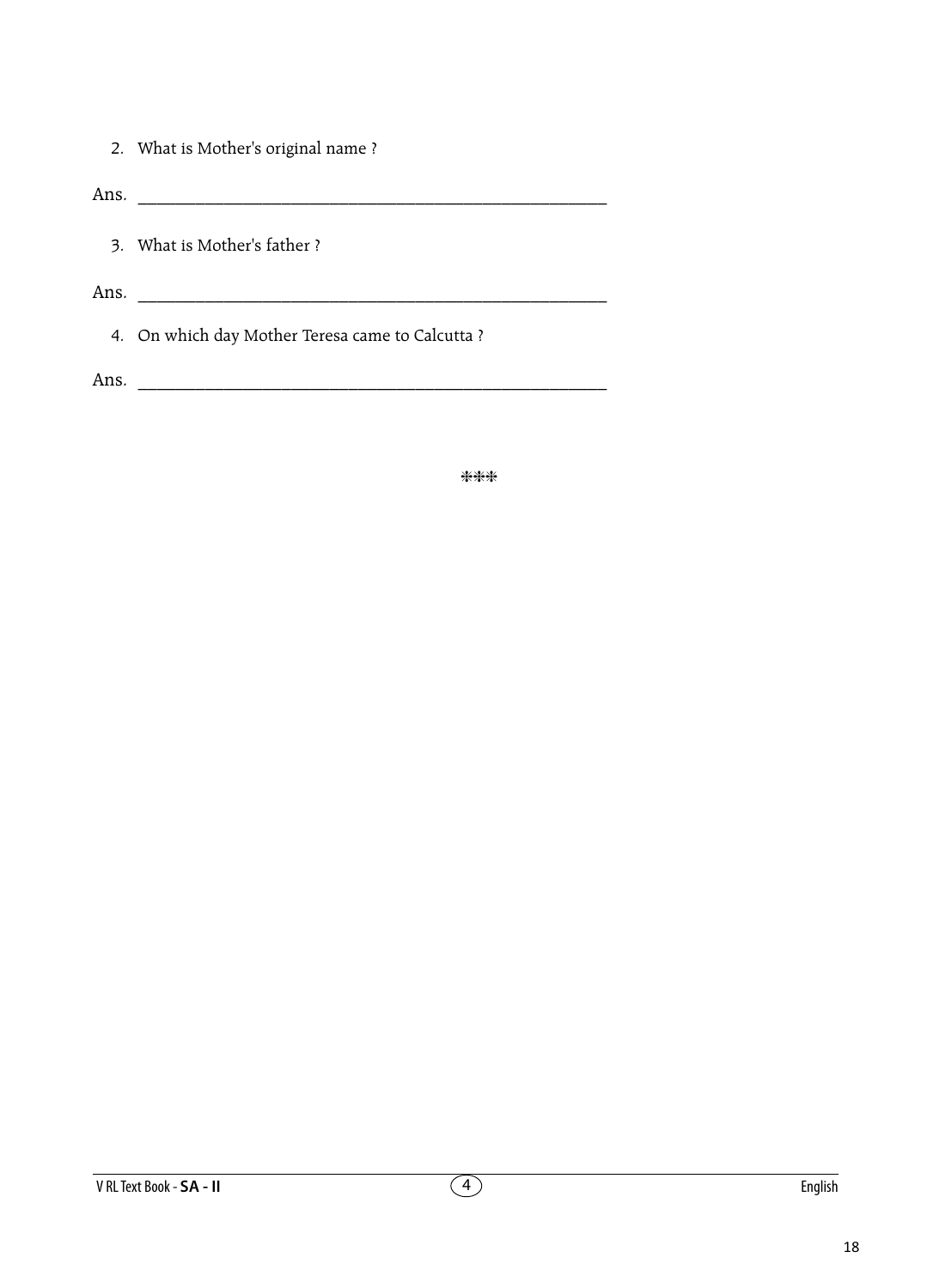2. What is Mother's original name ?

Ans. \_\_\_\_\_\_\_\_\_\_\_\_\_\_\_\_\_\_\_\_\_\_\_\_\_\_\_\_\_\_\_\_\_\_\_\_\_\_\_\_\_\_\_\_\_\_\_\_\_

- 3. What is Mother's father ?
- Ans. \_\_\_\_\_\_\_\_\_\_\_\_\_\_\_\_\_\_\_\_\_\_\_\_\_\_\_\_\_\_\_\_\_\_\_\_\_\_\_\_\_\_\_\_\_\_\_\_\_
	- 4. On which day Mother Teresa came to Calcutta ?

Ans. \_\_\_\_\_\_\_\_\_\_\_\_\_\_\_\_\_\_\_\_\_\_\_\_\_\_\_\_\_\_\_\_\_\_\_\_\_\_\_\_\_\_\_\_\_\_\_\_\_

\*\*\*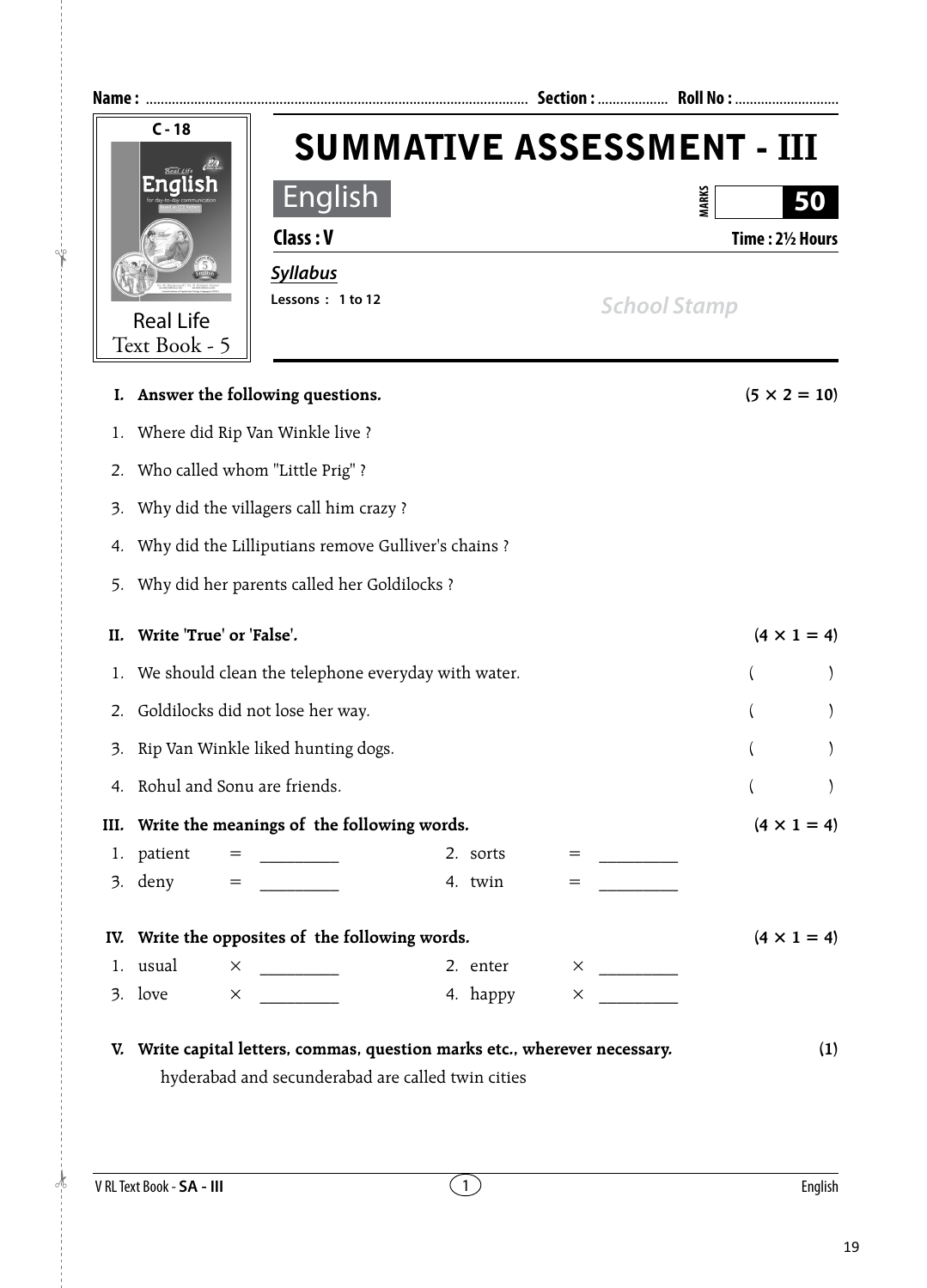

|      | I. Answer the following questions.                                         |          |                   | $(5 \times 2 = 10)$   |
|------|----------------------------------------------------------------------------|----------|-------------------|-----------------------|
| 1.   | Where did Rip Van Winkle live ?                                            |          |                   |                       |
|      | 2. Who called whom "Little Prig" ?                                         |          |                   |                       |
|      | 3. Why did the villagers call him crazy?                                   |          |                   |                       |
| 4.   | Why did the Lilliputians remove Gulliver's chains ?                        |          |                   |                       |
|      | 5. Why did her parents called her Goldilocks ?                             |          |                   |                       |
| Н.   | Write 'True' or 'False'.                                                   |          |                   | $(4 \times 1 = 4)$    |
|      | 1. We should clean the telephone everyday with water.                      |          |                   | $\left($              |
|      | 2. Goldilocks did not lose her way.                                        |          |                   |                       |
| 3.   | Rip Van Winkle liked hunting dogs.                                         |          |                   | $\lambda$<br>$\left($ |
|      | 4. Rohul and Sonu are friends.                                             |          |                   | $\lambda$             |
| III. | Write the meanings of the following words.                                 |          |                   | $(4 \times 1 = 4)$    |
|      | 1. patient = $\frac{1}{2}$                                                 | 2. sorts |                   |                       |
|      |                                                                            | 4. twin  | $=$               |                       |
|      | IV. Write the opposites of the following words.                            |          |                   | $(4 \times 1 = 4)$    |
|      | 1. usual                                                                   | 2. enter |                   |                       |
|      | 3. love $\times$                                                           | 4. happy | $\times$ $\times$ |                       |
|      | V. Write capital letters, commas, question marks etc., wherever necessary. |          |                   | (1)                   |
|      | hyderabad and secunderabad are called twin cities                          |          |                   |                       |

!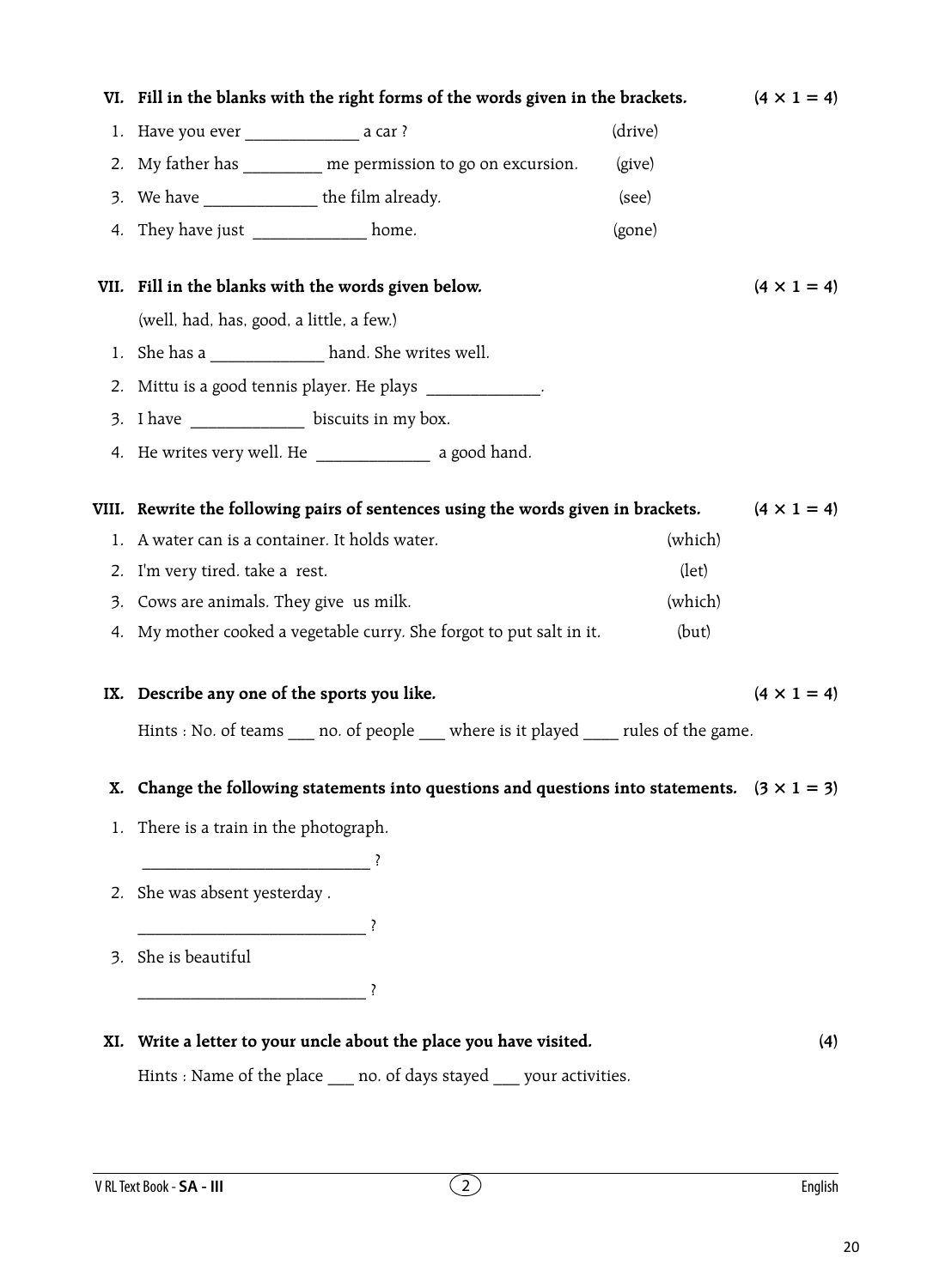|     |                                                                                             |                                                                                                  | (drive)        |                    |
|-----|---------------------------------------------------------------------------------------------|--------------------------------------------------------------------------------------------------|----------------|--------------------|
|     | 2. My father has _________ me permission to go on excursion.                                | (give)                                                                                           |                |                    |
|     | 3. We have _________________ the film already.                                              | (see)                                                                                            |                |                    |
|     | 4. They have just _____________ home.                                                       |                                                                                                  | (gone)         |                    |
|     |                                                                                             |                                                                                                  |                |                    |
|     | VII. Fill in the blanks with the words given below.                                         |                                                                                                  |                | $(4 \times 1 = 4)$ |
|     | (well, had, has, good, a little, a few.)                                                    |                                                                                                  |                |                    |
|     | 1. She has a _______________ hand. She writes well.                                         |                                                                                                  |                |                    |
|     |                                                                                             | 2. Mittu is a good tennis player. He plays _____________.                                        |                |                    |
|     | 3. I have _______________ biscuits in my box.                                               |                                                                                                  |                |                    |
|     |                                                                                             | 4. He writes very well. He ______________________ a good hand.                                   |                |                    |
|     |                                                                                             |                                                                                                  |                |                    |
|     |                                                                                             | VIII.   Rewrite the following pairs of sentences using the words given in brackets.              |                | $(4 \times 1 = 4)$ |
|     | 1. A water can is a container. It holds water.                                              |                                                                                                  | (which)        |                    |
|     | 2. I'm very tired. take a rest.                                                             |                                                                                                  | $(\text{let})$ |                    |
|     | 3. Cows are animals. They give us milk.                                                     |                                                                                                  | (which)        |                    |
|     |                                                                                             | 4. My mother cooked a vegetable curry. She forgot to put salt in it.                             | (but)          |                    |
|     |                                                                                             |                                                                                                  |                |                    |
|     | IX. Describe any one of the sports you like.                                                |                                                                                                  |                | $(4 \times 1 = 4)$ |
|     |                                                                                             |                                                                                                  |                |                    |
|     | Hints : No. of teams _____ no. of people _____ where is it played ______ rules of the game. |                                                                                                  |                |                    |
|     |                                                                                             |                                                                                                  |                |                    |
| Х.  |                                                                                             | Change the following statements into questions and questions into statements. $(3 \times 1 = 3)$ |                |                    |
|     | 1. There is a train in the photograph.                                                      |                                                                                                  |                |                    |
|     | $\overline{\phantom{a}}$                                                                    |                                                                                                  |                |                    |
|     | 2. She was absent yesterday.                                                                |                                                                                                  |                |                    |
|     |                                                                                             |                                                                                                  |                |                    |
|     | 3. She is beautiful                                                                         |                                                                                                  |                |                    |
|     |                                                                                             |                                                                                                  |                |                    |
|     |                                                                                             |                                                                                                  |                |                    |
| XI. |                                                                                             | Write a letter to your uncle about the place you have visited.                                   |                | (4)                |
|     |                                                                                             | Hints : Name of the place ____ no. of days stayed ____ your activities.                          |                |                    |

VI. Fill in the blanks with the right forms of the words given in the brackets.  $(4 \times 1 = 4)$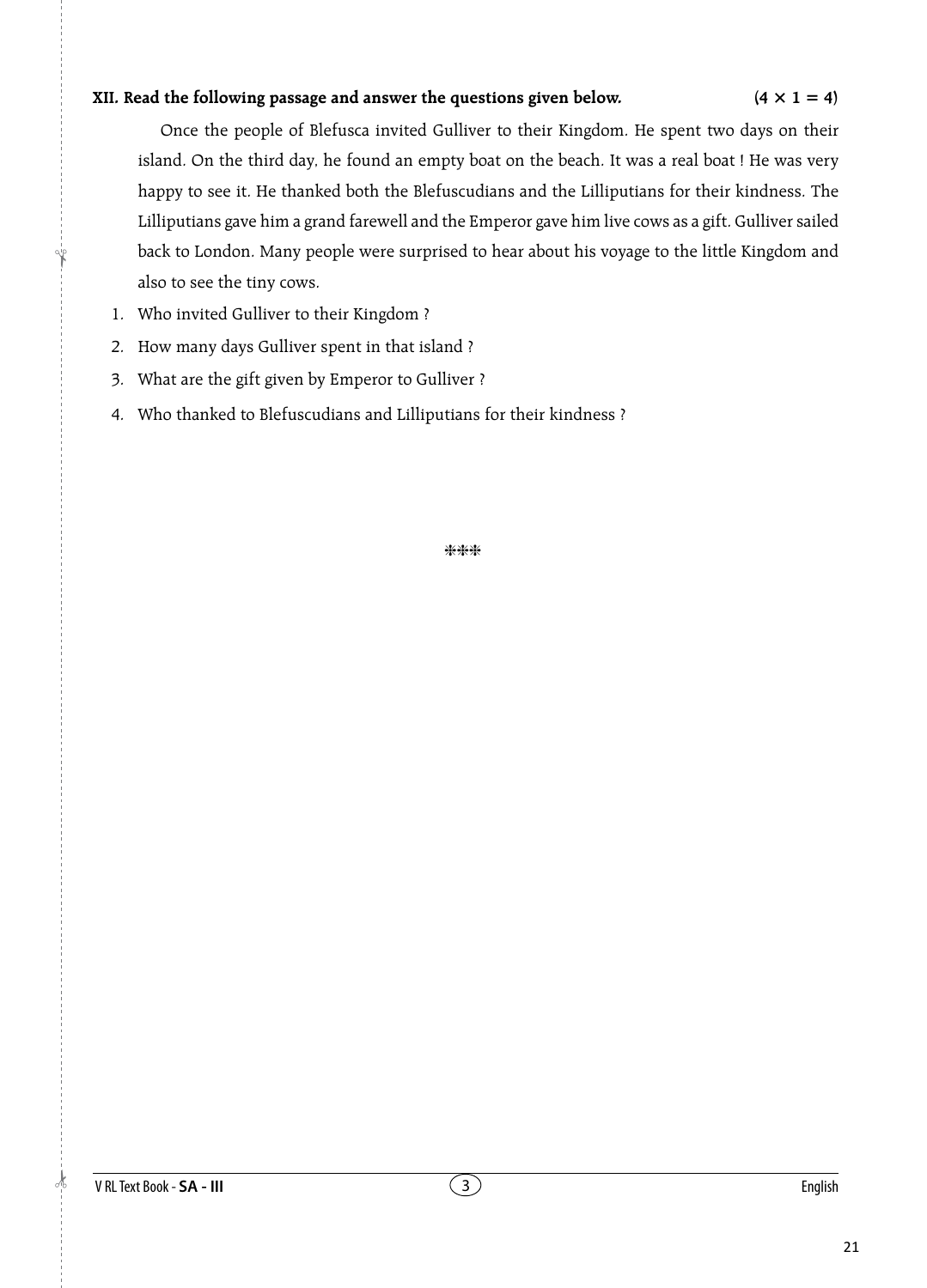## **XII.** Read the following passage and answer the questions given below.  $(4 \times 1 = 4)$

 Once the people of Blefusca invited Gulliver to their Kingdom. He spent two days on their island. On the third day, he found an empty boat on the beach. It was a real boat ! He was very happy to see it. He thanked both the Blefuscudians and the Lilliputians for their kindness. The Lilliputians gave him a grand farewell and the Emperor gave him live cows as a gift. Gulliver sailed back to London. Many people were surprised to hear about his voyage to the little Kingdom and also to see the tiny cows.

- 1. Who invited Gulliver to their Kingdom ?
- 2. How many days Gulliver spent in that island ?
- 3. What are the gift given by Emperor to Gulliver ?
- 4. Who thanked to Blefuscudians and Lilliputians for their kindness ?

\*\*\*

 $\frac{1}{2}$ 

!